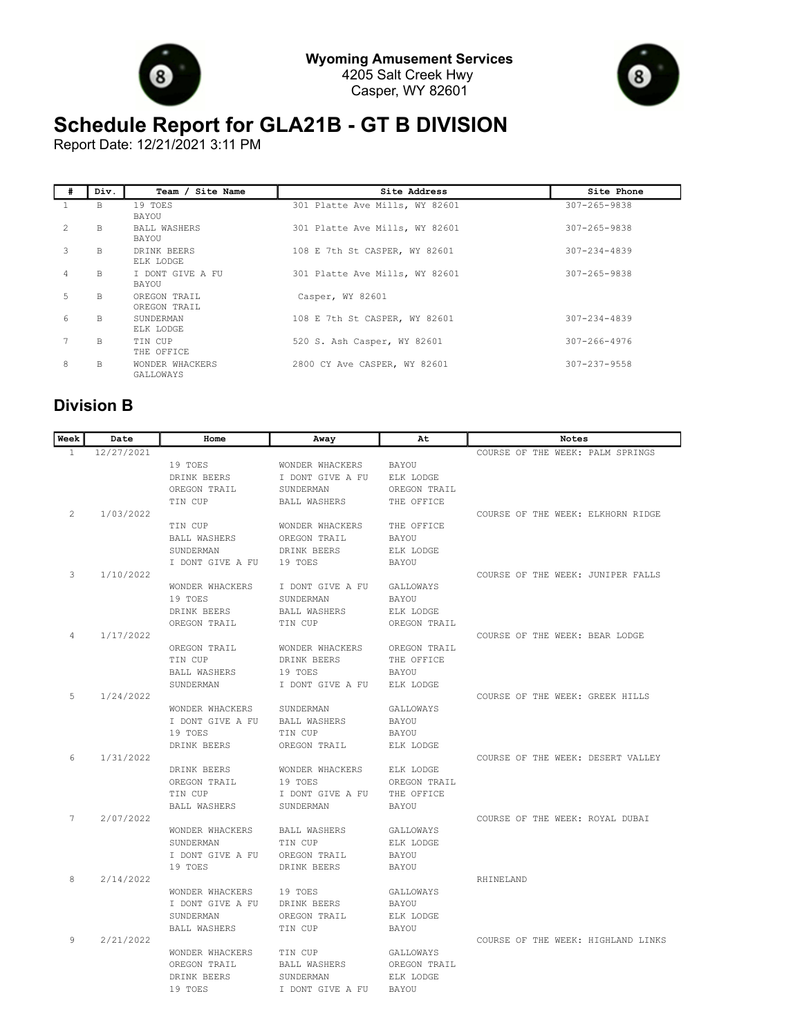



## **Schedule Report for GLA21B - GT B DIVISION**

Report Date: 12/21/2021 3:11 PM

| # | Div.         | Team / Site Name             | Site Address                   | Site Phone         |
|---|--------------|------------------------------|--------------------------------|--------------------|
|   | B            | 19 TOES<br>BAYOU             | 301 Platte Ave Mills, WY 82601 | $307 - 265 - 9838$ |
| 2 | B            | <b>BALL WASHERS</b><br>BAYOU | 301 Platte Ave Mills, WY 82601 | $307 - 265 - 9838$ |
| 3 | B            | DRINK BEERS<br>ELK LODGE     | 108 E 7th St CASPER, WY 82601  | $307 - 234 - 4839$ |
| 4 | <sub>B</sub> | I DONT GIVE A FU<br>BAYOU    | 301 Platte Ave Mills, WY 82601 | 307-265-9838       |
| 5 | <b>B</b>     | OREGON TRAIL<br>OREGON TRAIL | Casper, WY 82601               |                    |
| 6 | B            | SUNDERMAN<br>ELK LODGE       | 108 E 7th St CASPER, WY 82601  | $307 - 234 - 4839$ |
| 7 | B            | TIN CUP<br>THE OFFICE        | 520 S. Ash Casper, WY 82601    | $307 - 266 - 4976$ |
| 8 | B            | WONDER WHACKERS<br>GALLOWAYS | 2800 CY Ave CASPER, WY 82601   | 307-237-9558       |

## **Division B**

| Week         | Date       | Home                | Away                | At           | Notes                              |
|--------------|------------|---------------------|---------------------|--------------|------------------------------------|
| $\mathbf{1}$ | 12/27/2021 |                     |                     |              | COURSE OF THE WEEK: PALM SPRINGS   |
|              |            | 19 TOES             | WONDER WHACKERS     | <b>BAYOU</b> |                                    |
|              |            | DRINK BEERS         | I DONT GIVE A FU    | ELK LODGE    |                                    |
|              |            | OREGON TRAIL        | SUNDERMAN           | OREGON TRAIL |                                    |
|              |            | TIN CUP             | <b>BALL WASHERS</b> | THE OFFICE   |                                    |
| 2            | 1/03/2022  |                     |                     |              | COURSE OF THE WEEK: ELKHORN RIDGE  |
|              |            | TIN CUP             | WONDER WHACKERS     | THE OFFICE   |                                    |
|              |            | <b>BALL WASHERS</b> | OREGON TRAIL        | BAYOU        |                                    |
|              |            | SUNDERMAN           | DRINK BEERS         | ELK LODGE    |                                    |
|              |            | I DONT GIVE A FU    | 19 TOES             | <b>BAYOU</b> |                                    |
| 3            | 1/10/2022  |                     |                     |              | COURSE OF THE WEEK: JUNIPER FALLS  |
|              |            | WONDER WHACKERS     | I DONT GIVE A FU    | GALLOWAYS    |                                    |
|              |            | 19 TOES             | SUNDERMAN           | <b>BAYOU</b> |                                    |
|              |            | DRINK BEERS         | <b>BALL WASHERS</b> | ELK LODGE    |                                    |
|              |            | OREGON TRAIL        | TIN CUP             | OREGON TRAIL |                                    |
| 4            | 1/17/2022  |                     |                     |              | COURSE OF THE WEEK: BEAR LODGE     |
|              |            | OREGON TRAIL        | WONDER WHACKERS     | OREGON TRAIL |                                    |
|              |            | TIN CUP             | DRINK BEERS         | THE OFFICE   |                                    |
|              |            | <b>BALL WASHERS</b> | 19 TOES             | <b>BAYOU</b> |                                    |
|              |            | SUNDERMAN           | I DONT GIVE A FU    | ELK LODGE    |                                    |
| 5            | 1/24/2022  |                     |                     |              | COURSE OF THE WEEK: GREEK HILLS    |
|              |            | WONDER WHACKERS     | SUNDERMAN           | GALLOWAYS    |                                    |
|              |            | I DONT GIVE A FU    | <b>BALL WASHERS</b> | <b>BAYOU</b> |                                    |
|              |            | 19 TOES             | TIN CUP             | BAYOU        |                                    |
|              |            | DRINK BEERS         | OREGON TRAIL        | ELK LODGE    |                                    |
| 6            | 1/31/2022  |                     |                     |              | COURSE OF THE WEEK: DESERT VALLEY  |
|              |            | DRINK BEERS         | WONDER WHACKERS     | ELK LODGE    |                                    |
|              |            | OREGON TRAIL        | 19 TOES             | OREGON TRAIL |                                    |
|              |            | TIN CUP             | I DONT GIVE A FU    | THE OFFICE   |                                    |
| 7            | 2/07/2022  | <b>BALL WASHERS</b> | SUNDERMAN           | <b>BAYOU</b> | COURSE OF THE WEEK: ROYAL DUBAI    |
|              |            | WONDER WHACKERS     | <b>BALL WASHERS</b> | GALLOWAYS    |                                    |
|              |            | SUNDERMAN           | TIN CUP             | ELK LODGE    |                                    |
|              |            | I DONT GIVE A FU    | OREGON TRAIL        | <b>BAYOU</b> |                                    |
|              |            | 19 TOES             | DRINK BEERS         | BAYOU        |                                    |
| 8            | 2/14/2022  |                     |                     |              | RHINELAND                          |
|              |            | WONDER WHACKERS     | 19 TOES             | GALLOWAYS    |                                    |
|              |            | I DONT GIVE A FU    | DRINK BEERS         | <b>BAYOU</b> |                                    |
|              |            | SUNDERMAN           | OREGON TRAIL        | ELK LODGE    |                                    |
|              |            | <b>BALL WASHERS</b> | TIN CUP             | <b>BAYOU</b> |                                    |
| q            | 2/21/2022  |                     |                     |              | COURSE OF THE WEEK: HIGHLAND LINKS |
|              |            | WONDER WHACKERS     | TIN CUP             | GALLOWAYS    |                                    |
|              |            | OREGON TRAIL        | <b>BALL WASHERS</b> | OREGON TRAIL |                                    |
|              |            | DRINK BEERS         | SUNDERMAN           | ELK LODGE    |                                    |
|              |            | 19 TOES             | I DONT GIVE A FU    | <b>BAYOU</b> |                                    |
|              |            |                     |                     |              |                                    |